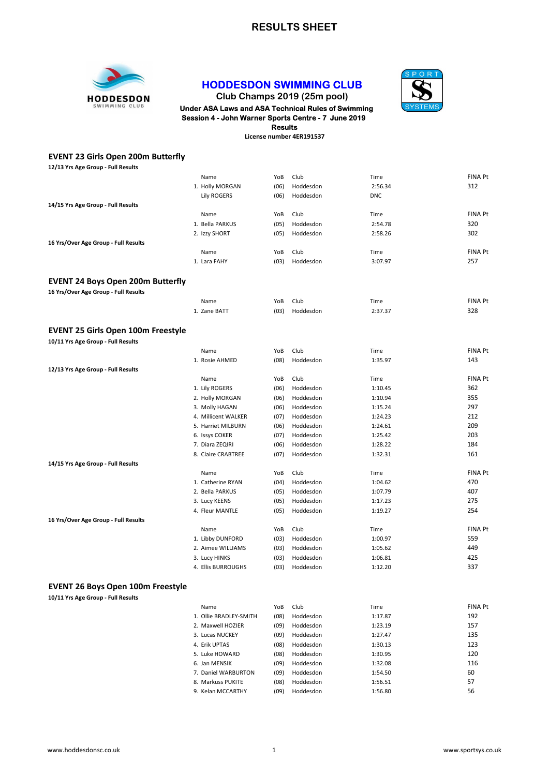#### RESULTS SHEET



#### HODDESDON SWIMMING CLUB



Club Champs 2019 (25m pool)

# **HODDESDON** Club Champs 2019 (25m pool)<br>SWIMMING CLUB Under ASA Laws and ASA Technical Rules of Swimming Session 4 - John Warner Sports Centre - 7 June 2019 Results

License number 4ER191537

| <b>EVENT 23 Girls Open 200m Butterfly</b> |                        |      |           |            |                |
|-------------------------------------------|------------------------|------|-----------|------------|----------------|
| 12/13 Yrs Age Group - Full Results        |                        |      |           |            |                |
|                                           | Name                   | YoB  | Club      | Time       | <b>FINA Pt</b> |
|                                           | 1. Holly MORGAN        | (06) | Hoddesdon | 2:56.34    | 312            |
|                                           | <b>Lily ROGERS</b>     | (06) | Hoddesdon | <b>DNC</b> |                |
| 14/15 Yrs Age Group - Full Results        |                        |      |           |            |                |
|                                           | Name                   | YoB  | Club      | Time       | <b>FINA Pt</b> |
|                                           | 1. Bella PARKUS        | (05) | Hoddesdon | 2:54.78    | 320            |
|                                           | 2. Izzy SHORT          | (05) | Hoddesdon | 2:58.26    | 302            |
| 16 Yrs/Over Age Group - Full Results      |                        |      |           |            |                |
|                                           | Name                   | YoB  | Club      | Time       | <b>FINA Pt</b> |
|                                           | 1. Lara FAHY           | (03) | Hoddesdon | 3:07.97    | 257            |
|                                           |                        |      |           |            |                |
| <b>EVENT 24 Boys Open 200m Butterfly</b>  |                        |      |           |            |                |
| 16 Yrs/Over Age Group - Full Results      |                        |      |           |            |                |
|                                           | Name                   | YoB  | Club      | Time       | <b>FINA Pt</b> |
|                                           | 1. Zane BATT           | (03) | Hoddesdon | 2:37.37    | 328            |
|                                           |                        |      |           |            |                |
| <b>EVENT 25 Girls Open 100m Freestyle</b> |                        |      |           |            |                |
| 10/11 Yrs Age Group - Full Results        |                        |      |           |            |                |
|                                           | Name                   | YoB  | Club      | Time       | <b>FINA Pt</b> |
|                                           | 1. Rosie AHMED         | (08) | Hoddesdon | 1:35.97    | 143            |
| 12/13 Yrs Age Group - Full Results        |                        |      |           |            |                |
|                                           | Name                   | YoB  | Club      | Time       | <b>FINA Pt</b> |
|                                           | 1. Lily ROGERS         | (06) | Hoddesdon | 1:10.45    | 362            |
|                                           | 2. Holly MORGAN        | (06) | Hoddesdon | 1:10.94    | 355            |
|                                           | 3. Molly HAGAN         | (06) | Hoddesdon | 1:15.24    | 297            |
|                                           | 4. Millicent WALKER    | (07) | Hoddesdon | 1:24.23    | 212            |
|                                           | 5. Harriet MILBURN     | (06) | Hoddesdon | 1:24.61    | 209            |
|                                           | 6. Issys COKER         | (07) | Hoddesdon | 1:25.42    | 203            |
|                                           | 7. Diara ZEQIRI        | (06) | Hoddesdon | 1:28.22    | 184            |
|                                           | 8. Claire CRABTREE     | (07) | Hoddesdon | 1:32.31    | 161            |
| 14/15 Yrs Age Group - Full Results        |                        |      |           |            |                |
|                                           | Name                   | YoB  | Club      | Time       | <b>FINA Pt</b> |
|                                           | 1. Catherine RYAN      | (04) | Hoddesdon | 1:04.62    | 470            |
|                                           | 2. Bella PARKUS        | (05) | Hoddesdon | 1:07.79    | 407            |
|                                           | 3. Lucy KEENS          | (05) | Hoddesdon | 1:17.23    | 275            |
|                                           | 4. Fleur MANTLE        | (05) | Hoddesdon | 1:19.27    | 254            |
| 16 Yrs/Over Age Group - Full Results      |                        |      |           |            |                |
|                                           | Name                   | YoB  | Club      | Time       | <b>FINA Pt</b> |
|                                           | 1. Libby DUNFORD       | (03) | Hoddesdon | 1:00.97    | 559            |
|                                           | 2. Aimee WILLIAMS      | (03) | Hoddesdon | 1:05.62    | 449            |
|                                           | 3. Lucy HINKS          | (03) | Hoddesdon | 1:06.81    | 425            |
|                                           | 4. Ellis BURROUGHS     | (03) | Hoddesdon | 1:12.20    | 337            |
|                                           |                        |      |           |            |                |
| <b>EVENT 26 Boys Open 100m Freestyle</b>  |                        |      |           |            |                |
| 10/11 Yrs Age Group - Full Results        |                        |      |           |            |                |
|                                           | Name                   | YoB  | Club      | Time       | <b>FINA Pt</b> |
|                                           | 1. Ollie BRADLEY-SMITH | (08) | Hoddesdon | 1:17.87    | 192            |
|                                           | 2. Maxwell HOZIER      | (09) | Hoddesdon | 1:23.19    | 157            |
|                                           | 3. Lucas NUCKEY        | (09) | Hoddesdon | 1:27.47    | 135            |
|                                           | 4. Erik UPTAS          | (08) | Hoddesdon | 1:30.13    | 123            |
|                                           | 5. Luke HOWARD         | (08) | Hoddesdon | 1:30.95    | 120            |
|                                           | 6. Jan MENSIK          | (09) | Hoddesdon | 1:32.08    | 116            |
|                                           | 7. Daniel WARBURTON    | (09) | Hoddesdon | 1:54.50    | 60             |
|                                           | 8. Markuss PUKITE      | (08) | Hoddesdon | 1:56.51    | 57             |
|                                           | 9. Kelan MCCARTHY      | (09) | Hoddesdon | 1:56.80    | 56             |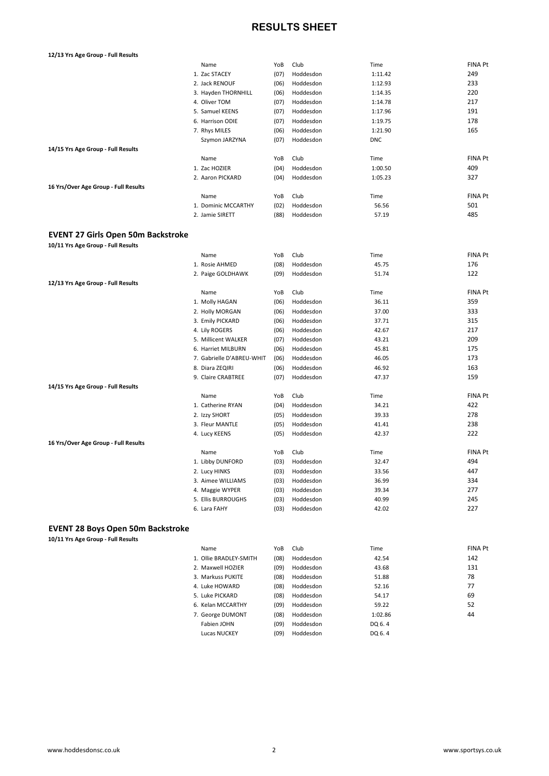## RESULTS SHEET

| 12/13 Yrs Age Group - Full Results                                             |                           |             |                   |               |                |
|--------------------------------------------------------------------------------|---------------------------|-------------|-------------------|---------------|----------------|
|                                                                                | Name                      | YoB         | Club              | Time          | <b>FINA Pt</b> |
|                                                                                | 1. Zac STACEY             | (07)        | Hoddesdon         | 1:11.42       | 249            |
|                                                                                | 2. Jack RENOUF            | (06)        | Hoddesdon         | 1:12.93       | 233            |
|                                                                                | 3. Hayden THORNHILL       | (06)        | Hoddesdon         | 1:14.35       | 220            |
|                                                                                | 4. Oliver TOM             | (07)        | Hoddesdon         | 1:14.78       | 217            |
|                                                                                | 5. Samuel KEENS           | (07)        | Hoddesdon         | 1:17.96       | 191            |
|                                                                                | 6. Harrison ODIE          | (07)        | Hoddesdon         | 1:19.75       | 178            |
|                                                                                | 7. Rhys MILES             | (06)        | Hoddesdon         | 1:21.90       | 165            |
|                                                                                | Szymon JARZYNA            | (07)        | Hoddesdon         | <b>DNC</b>    |                |
| 14/15 Yrs Age Group - Full Results                                             |                           |             |                   |               |                |
|                                                                                | Name                      | YoB         | Club              | Time          | <b>FINA Pt</b> |
|                                                                                | 1. Zac HOZIER             | (04)        | Hoddesdon         | 1:00.50       | 409            |
|                                                                                | 2. Aaron PICKARD          | (04)        | Hoddesdon         | 1:05.23       | 327            |
| 16 Yrs/Over Age Group - Full Results                                           |                           |             |                   |               |                |
|                                                                                | Name                      | YoB         | Club              | Time          | <b>FINA Pt</b> |
|                                                                                | 1. Dominic MCCARTHY       | (02)        | Hoddesdon         | 56.56         | 501            |
|                                                                                | 2. Jamie SIRETT           | (88)        | Hoddesdon         | 57.19         | 485            |
| <b>EVENT 27 Girls Open 50m Backstroke</b>                                      |                           |             |                   |               |                |
| 10/11 Yrs Age Group - Full Results                                             |                           |             |                   |               |                |
|                                                                                | Name                      | YoB         | Club              | Time          | <b>FINA Pt</b> |
|                                                                                | 1. Rosie AHMED            | (08)        | Hoddesdon         | 45.75         | 176            |
|                                                                                | 2. Paige GOLDHAWK         | (09)        | Hoddesdon         | 51.74         | 122            |
| 12/13 Yrs Age Group - Full Results                                             |                           |             |                   |               |                |
|                                                                                | Name                      | YoB         | Club              | Time          | <b>FINA Pt</b> |
|                                                                                | 1. Molly HAGAN            | (06)        | Hoddesdon         | 36.11         | 359            |
|                                                                                | 2. Holly MORGAN           | (06)        | Hoddesdon         | 37.00         | 333            |
|                                                                                | 3. Emily PICKARD          | (06)        | Hoddesdon         | 37.71         | 315            |
|                                                                                | 4. Lily ROGERS            | (06)        | Hoddesdon         | 42.67         | 217            |
|                                                                                | 5. Millicent WALKER       | (07)        | Hoddesdon         | 43.21         | 209            |
|                                                                                | 6. Harriet MILBURN        | (06)        | Hoddesdon         | 45.81         | 175            |
|                                                                                | 7. Gabrielle D'ABREU-WHIT | (06)        | Hoddesdon         | 46.05         | 173            |
|                                                                                | 8. Diara ZEQIRI           | (06)        | Hoddesdon         | 46.92         | 163            |
|                                                                                | 9. Claire CRABTREE        | (07)        | Hoddesdon         | 47.37         | 159            |
| 14/15 Yrs Age Group - Full Results                                             |                           |             |                   |               |                |
|                                                                                | Name                      | YoB         | Club              | Time          | <b>FINA Pt</b> |
|                                                                                | 1. Catherine RYAN         | (04)        | Hoddesdon         | 34.21         | 422            |
|                                                                                | 2. Izzy SHORT             | (05)        | Hoddesdon         | 39.33         | 278            |
|                                                                                | 3. Fleur MANTLE           | (05)        | Hoddesdon         | 41.41         | 238            |
|                                                                                | 4. Lucy KEENS             | (05)        | Hoddesdon         | 42.37         | 222            |
| 16 Yrs/Over Age Group - Full Results                                           |                           |             |                   |               | <b>FINA Pt</b> |
|                                                                                | Name<br>1. Libby DUNFORD  | YoB<br>(03) | Club<br>Hoddesdon | Time<br>32.47 | 494            |
|                                                                                | 2. Lucy HINKS             | (03)        | Hoddesdon         | 33.56         | 447            |
|                                                                                | 3. Aimee WILLIAMS         | (03)        | Hoddesdon         | 36.99         | 334            |
|                                                                                | 4. Maggie WYPER           | (03)        | Hoddesdon         | 39.34         | 277            |
|                                                                                | 5. Ellis BURROUGHS        | (03)        | Hoddesdon         | 40.99         | 245            |
|                                                                                | 6. Lara FAHY              | (03)        | Hoddesdon         | 42.02         | 227            |
|                                                                                |                           |             |                   |               |                |
| <b>EVENT 28 Boys Open 50m Backstroke</b><br>10/11 Yrs Age Group - Full Results |                           |             |                   |               |                |
|                                                                                | Name                      | YoB         | Club              | Time          | <b>FINA Pt</b> |
|                                                                                | 1. Ollie BRADLEY-SMITH    | (08)        | Hoddesdon         | 42.54         | 142            |
|                                                                                | 2. Maxwell HOZIER         | (09)        | Hoddesdon         | 43.68         | 131            |
|                                                                                | 3. Markuss PUKITE         | (08)        | Hoddesdon         | 51.88         | 78             |
|                                                                                | 4. Luke HOWARD            | (08)        | Hoddesdon         | 52.16         | 77             |
|                                                                                | 5. Luke PICKARD           | (08)        | Hoddesdon         | 54.17         | 69             |
|                                                                                | 6. Kelan MCCARTHY         | (09)        | Hoddesdon         | 59.22         | 52             |
|                                                                                | 7. George DUMONT          | (08)        | Hoddesdon         | 1:02.86       | 44             |
|                                                                                | Fabien JOHN               | (09)        | Hoddesdon         | DQ 6.4        |                |

Lucas NUCKEY (09) Hoddesdon DQ 6. 4